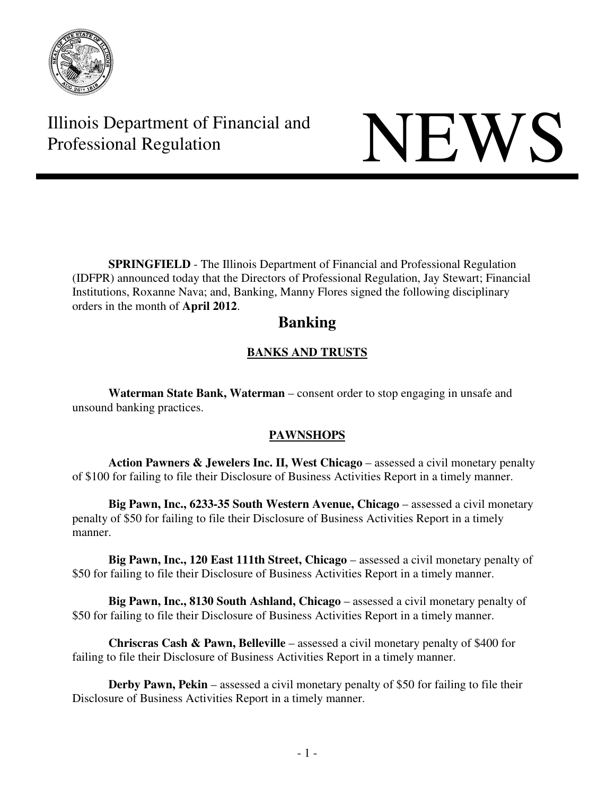

Illinois Department of Financial and Illinois Department of Financial and<br>Professional Regulation

**SPRINGFIELD** - The Illinois Department of Financial and Professional Regulation (IDFPR) announced today that the Directors of Professional Regulation, Jay Stewart; Financial Institutions, Roxanne Nava; and, Banking, Manny Flores signed the following disciplinary orders in the month of **April 2012**.

# **Banking**

# **BANKS AND TRUSTS**

**Waterman State Bank, Waterman** – consent order to stop engaging in unsafe and unsound banking practices.

# **PAWNSHOPS**

**Action Pawners & Jewelers Inc. II, West Chicago** – assessed a civil monetary penalty of \$100 for failing to file their Disclosure of Business Activities Report in a timely manner.

**Big Pawn, Inc., 6233-35 South Western Avenue, Chicago** – assessed a civil monetary penalty of \$50 for failing to file their Disclosure of Business Activities Report in a timely manner.

**Big Pawn, Inc., 120 East 111th Street, Chicago** – assessed a civil monetary penalty of \$50 for failing to file their Disclosure of Business Activities Report in a timely manner.

**Big Pawn, Inc., 8130 South Ashland, Chicago** – assessed a civil monetary penalty of \$50 for failing to file their Disclosure of Business Activities Report in a timely manner.

**Chriscras Cash & Pawn, Belleville** – assessed a civil monetary penalty of \$400 for failing to file their Disclosure of Business Activities Report in a timely manner.

**Derby Pawn, Pekin** – assessed a civil monetary penalty of \$50 for failing to file their Disclosure of Business Activities Report in a timely manner.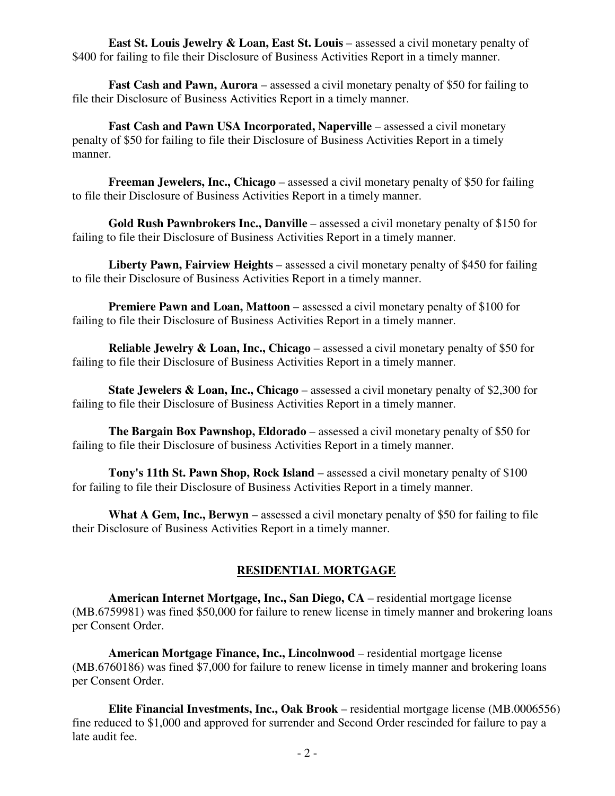**East St. Louis Jewelry & Loan, East St. Louis** – assessed a civil monetary penalty of \$400 for failing to file their Disclosure of Business Activities Report in a timely manner.

**Fast Cash and Pawn, Aurora** – assessed a civil monetary penalty of \$50 for failing to file their Disclosure of Business Activities Report in a timely manner.

**Fast Cash and Pawn USA Incorporated, Naperville** – assessed a civil monetary penalty of \$50 for failing to file their Disclosure of Business Activities Report in a timely manner.

**Freeman Jewelers, Inc., Chicago** – assessed a civil monetary penalty of \$50 for failing to file their Disclosure of Business Activities Report in a timely manner.

**Gold Rush Pawnbrokers Inc., Danville** – assessed a civil monetary penalty of \$150 for failing to file their Disclosure of Business Activities Report in a timely manner.

**Liberty Pawn, Fairview Heights** – assessed a civil monetary penalty of \$450 for failing to file their Disclosure of Business Activities Report in a timely manner.

**Premiere Pawn and Loan, Mattoon** – assessed a civil monetary penalty of \$100 for failing to file their Disclosure of Business Activities Report in a timely manner.

**Reliable Jewelry & Loan, Inc., Chicago** – assessed a civil monetary penalty of \$50 for failing to file their Disclosure of Business Activities Report in a timely manner.

**State Jewelers & Loan, Inc., Chicago** – assessed a civil monetary penalty of \$2,300 for failing to file their Disclosure of Business Activities Report in a timely manner.

**The Bargain Box Pawnshop, Eldorado** – assessed a civil monetary penalty of \$50 for failing to file their Disclosure of business Activities Report in a timely manner.

**Tony's 11th St. Pawn Shop, Rock Island** – assessed a civil monetary penalty of \$100 for failing to file their Disclosure of Business Activities Report in a timely manner.

**What A Gem, Inc., Berwyn** – assessed a civil monetary penalty of \$50 for failing to file their Disclosure of Business Activities Report in a timely manner.

# **RESIDENTIAL MORTGAGE**

**American Internet Mortgage, Inc., San Diego, CA** – residential mortgage license (MB.6759981) was fined \$50,000 for failure to renew license in timely manner and brokering loans per Consent Order.

**American Mortgage Finance, Inc., Lincolnwood** – residential mortgage license (MB.6760186) was fined \$7,000 for failure to renew license in timely manner and brokering loans per Consent Order.

**Elite Financial Investments, Inc., Oak Brook** – residential mortgage license (MB.0006556) fine reduced to \$1,000 and approved for surrender and Second Order rescinded for failure to pay a late audit fee.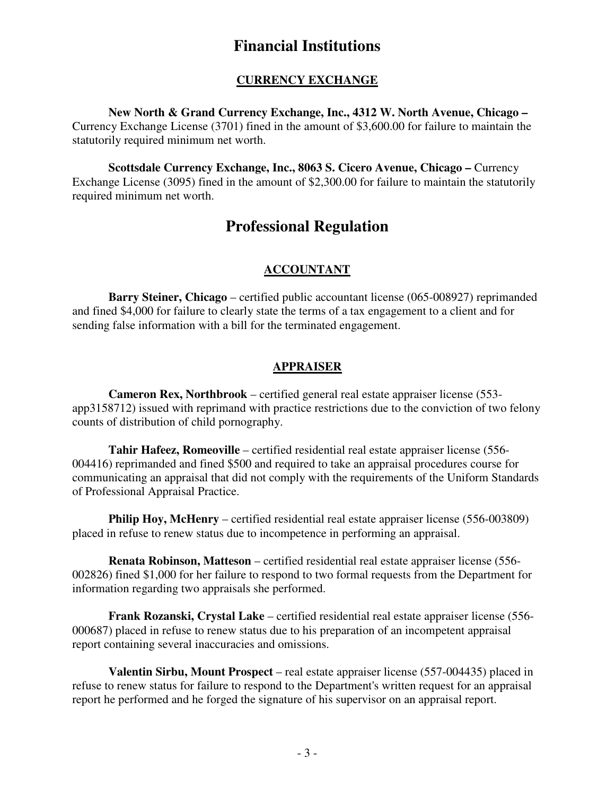# **Financial Institutions**

# **CURRENCY EXCHANGE**

**New North & Grand Currency Exchange, Inc., 4312 W. North Avenue, Chicago –** Currency Exchange License (3701) fined in the amount of \$3,600.00 for failure to maintain the statutorily required minimum net worth.

**Scottsdale Currency Exchange, Inc., 8063 S. Cicero Avenue, Chicago –** Currency Exchange License (3095) fined in the amount of \$2,300.00 for failure to maintain the statutorily required minimum net worth.

# **Professional Regulation**

# **ACCOUNTANT**

 **Barry Steiner, Chicago** – certified public accountant license (065-008927) reprimanded and fined \$4,000 for failure to clearly state the terms of a tax engagement to a client and for sending false information with a bill for the terminated engagement.

# **APPRAISER**

 **Cameron Rex, Northbrook** – certified general real estate appraiser license (553 app3158712) issued with reprimand with practice restrictions due to the conviction of two felony counts of distribution of child pornography.

 **Tahir Hafeez, Romeoville** – certified residential real estate appraiser license (556- 004416) reprimanded and fined \$500 and required to take an appraisal procedures course for communicating an appraisal that did not comply with the requirements of the Uniform Standards of Professional Appraisal Practice.

**Philip Hoy, McHenry** – certified residential real estate appraiser license (556-003809) placed in refuse to renew status due to incompetence in performing an appraisal.

 **Renata Robinson, Matteson** – certified residential real estate appraiser license (556- 002826) fined \$1,000 for her failure to respond to two formal requests from the Department for information regarding two appraisals she performed.

 **Frank Rozanski, Crystal Lake** – certified residential real estate appraiser license (556- 000687) placed in refuse to renew status due to his preparation of an incompetent appraisal report containing several inaccuracies and omissions.

 **Valentin Sirbu, Mount Prospect** – real estate appraiser license (557-004435) placed in refuse to renew status for failure to respond to the Department's written request for an appraisal report he performed and he forged the signature of his supervisor on an appraisal report.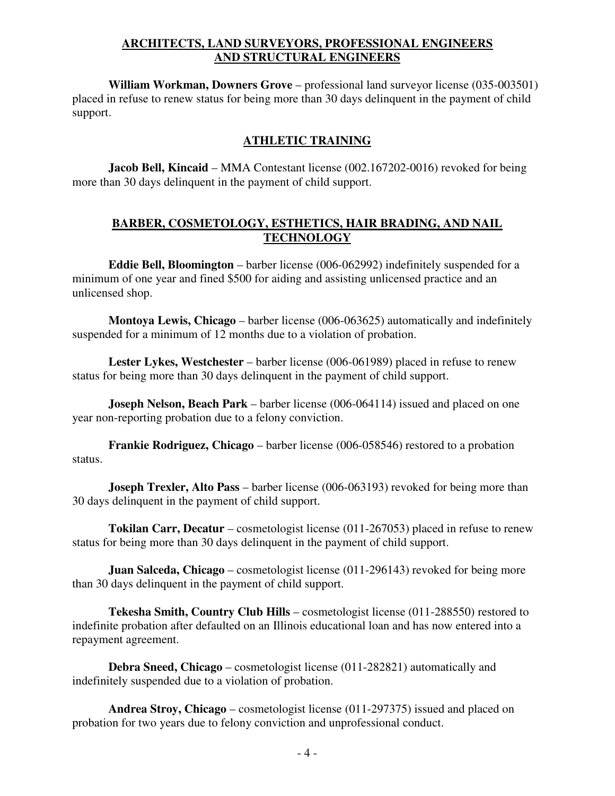# **ARCHITECTS, LAND SURVEYORS, PROFESSIONAL ENGINEERS AND STRUCTURAL ENGINEERS**

 **William Workman, Downers Grove** – professional land surveyor license (035-003501) placed in refuse to renew status for being more than 30 days delinquent in the payment of child support.

# **ATHLETIC TRAINING**

 **Jacob Bell, Kincaid** – MMA Contestant license (002.167202-0016) revoked for being more than 30 days delinquent in the payment of child support.

# **BARBER, COSMETOLOGY, ESTHETICS, HAIR BRADING, AND NAIL TECHNOLOGY**

 **Eddie Bell, Bloomington** – barber license (006-062992) indefinitely suspended for a minimum of one year and fined \$500 for aiding and assisting unlicensed practice and an unlicensed shop.

 **Montoya Lewis, Chicago** – barber license (006-063625) automatically and indefinitely suspended for a minimum of 12 months due to a violation of probation.

 **Lester Lykes, Westchester** – barber license (006-061989) placed in refuse to renew status for being more than 30 days delinquent in the payment of child support.

 **Joseph Nelson, Beach Park** – barber license (006-064114) issued and placed on one year non-reporting probation due to a felony conviction.

 **Frankie Rodriguez, Chicago** – barber license (006-058546) restored to a probation status.

**Joseph Trexler, Alto Pass** – barber license (006-063193) revoked for being more than 30 days delinquent in the payment of child support.

 **Tokilan Carr, Decatur** – cosmetologist license (011-267053) placed in refuse to renew status for being more than 30 days delinquent in the payment of child support.

**Juan Salceda, Chicago** – cosmetologist license (011-296143) revoked for being more than 30 days delinquent in the payment of child support.

 **Tekesha Smith, Country Club Hills** – cosmetologist license (011-288550) restored to indefinite probation after defaulted on an Illinois educational loan and has now entered into a repayment agreement.

 **Debra Sneed, Chicago** – cosmetologist license (011-282821) automatically and indefinitely suspended due to a violation of probation.

 **Andrea Stroy, Chicago** – cosmetologist license (011-297375) issued and placed on probation for two years due to felony conviction and unprofessional conduct.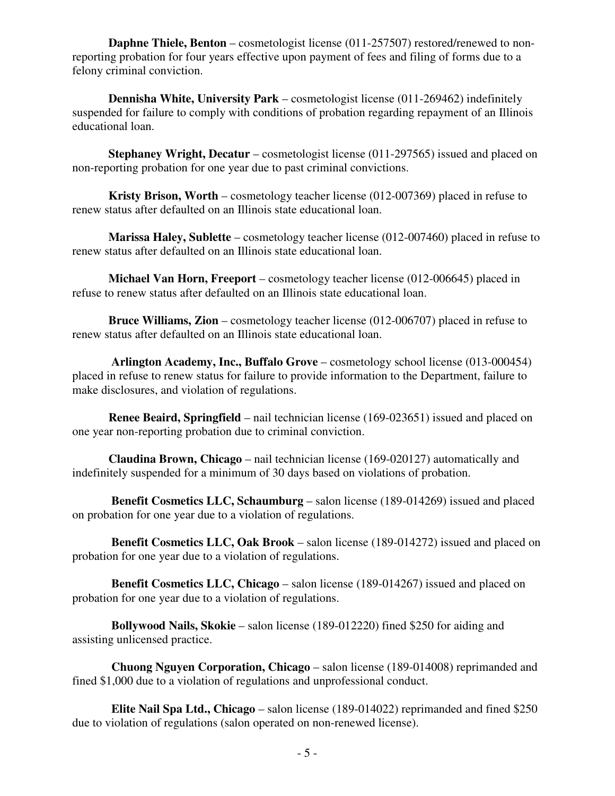**Daphne Thiele, Benton** – cosmetologist license (011-257507) restored/renewed to nonreporting probation for four years effective upon payment of fees and filing of forms due to a felony criminal conviction.

 **Dennisha White, University Park** – cosmetologist license (011-269462) indefinitely suspended for failure to comply with conditions of probation regarding repayment of an Illinois educational loan.

 **Stephaney Wright, Decatur** – cosmetologist license (011-297565) issued and placed on non-reporting probation for one year due to past criminal convictions.

 **Kristy Brison, Worth** – cosmetology teacher license (012-007369) placed in refuse to renew status after defaulted on an Illinois state educational loan.

 **Marissa Haley, Sublette** – cosmetology teacher license (012-007460) placed in refuse to renew status after defaulted on an Illinois state educational loan.

 **Michael Van Horn, Freeport** – cosmetology teacher license (012-006645) placed in refuse to renew status after defaulted on an Illinois state educational loan.

 **Bruce Williams, Zion** – cosmetology teacher license (012-006707) placed in refuse to renew status after defaulted on an Illinois state educational loan.

 **Arlington Academy, Inc., Buffalo Grove** – cosmetology school license (013-000454) placed in refuse to renew status for failure to provide information to the Department, failure to make disclosures, and violation of regulations.

**Renee Beaird, Springfield** – nail technician license (169-023651) issued and placed on one year non-reporting probation due to criminal conviction.

 **Claudina Brown, Chicago** – nail technician license (169-020127) automatically and indefinitely suspended for a minimum of 30 days based on violations of probation.

 **Benefit Cosmetics LLC, Schaumburg** – salon license (189-014269) issued and placed on probation for one year due to a violation of regulations.

 **Benefit Cosmetics LLC, Oak Brook** – salon license (189-014272) issued and placed on probation for one year due to a violation of regulations.

 **Benefit Cosmetics LLC, Chicago** – salon license (189-014267) issued and placed on probation for one year due to a violation of regulations.

 **Bollywood Nails, Skokie** – salon license (189-012220) fined \$250 for aiding and assisting unlicensed practice.

 **Chuong Nguyen Corporation, Chicago** – salon license (189-014008) reprimanded and fined \$1,000 due to a violation of regulations and unprofessional conduct.

 **Elite Nail Spa Ltd., Chicago** – salon license (189-014022) reprimanded and fined \$250 due to violation of regulations (salon operated on non-renewed license).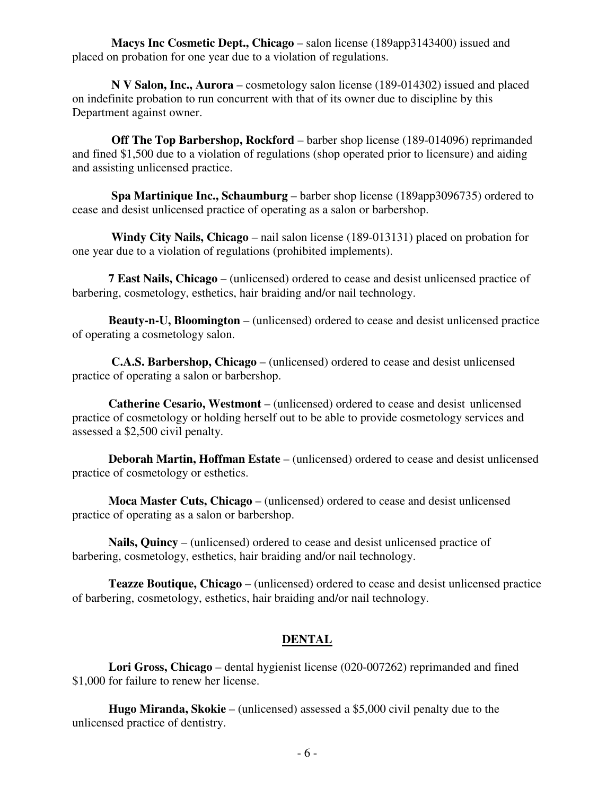**Macys Inc Cosmetic Dept., Chicago** – salon license (189app3143400) issued and placed on probation for one year due to a violation of regulations.

 **N V Salon, Inc., Aurora** – cosmetology salon license (189-014302) issued and placed on indefinite probation to run concurrent with that of its owner due to discipline by this Department against owner.

**Off The Top Barbershop, Rockford** – barber shop license (189-014096) reprimanded and fined \$1,500 due to a violation of regulations (shop operated prior to licensure) and aiding and assisting unlicensed practice.

 **Spa Martinique Inc., Schaumburg** – barber shop license (189app3096735) ordered to cease and desist unlicensed practice of operating as a salon or barbershop.

 **Windy City Nails, Chicago** – nail salon license (189-013131) placed on probation for one year due to a violation of regulations (prohibited implements).

 **7 East Nails, Chicago** – (unlicensed) ordered to cease and desist unlicensed practice of barbering, cosmetology, esthetics, hair braiding and/or nail technology.

 **Beauty-n-U, Bloomington** – (unlicensed) ordered to cease and desist unlicensed practice of operating a cosmetology salon.

 **C.A.S. Barbershop, Chicago** – (unlicensed) ordered to cease and desist unlicensed practice of operating a salon or barbershop.

 **Catherine Cesario, Westmont** – (unlicensed) ordered to cease and desist unlicensed practice of cosmetology or holding herself out to be able to provide cosmetology services and assessed a \$2,500 civil penalty.

 **Deborah Martin, Hoffman Estate** – (unlicensed) ordered to cease and desist unlicensed practice of cosmetology or esthetics.

 **Moca Master Cuts, Chicago** – (unlicensed) ordered to cease and desist unlicensed practice of operating as a salon or barbershop.

 **Nails, Quincy** – (unlicensed) ordered to cease and desist unlicensed practice of barbering, cosmetology, esthetics, hair braiding and/or nail technology.

 **Teazze Boutique, Chicago** – (unlicensed) ordered to cease and desist unlicensed practice of barbering, cosmetology, esthetics, hair braiding and/or nail technology.

# **DENTAL**

 **Lori Gross, Chicago** – dental hygienist license (020-007262) reprimanded and fined \$1,000 for failure to renew her license.

 **Hugo Miranda, Skokie** – (unlicensed) assessed a \$5,000 civil penalty due to the unlicensed practice of dentistry.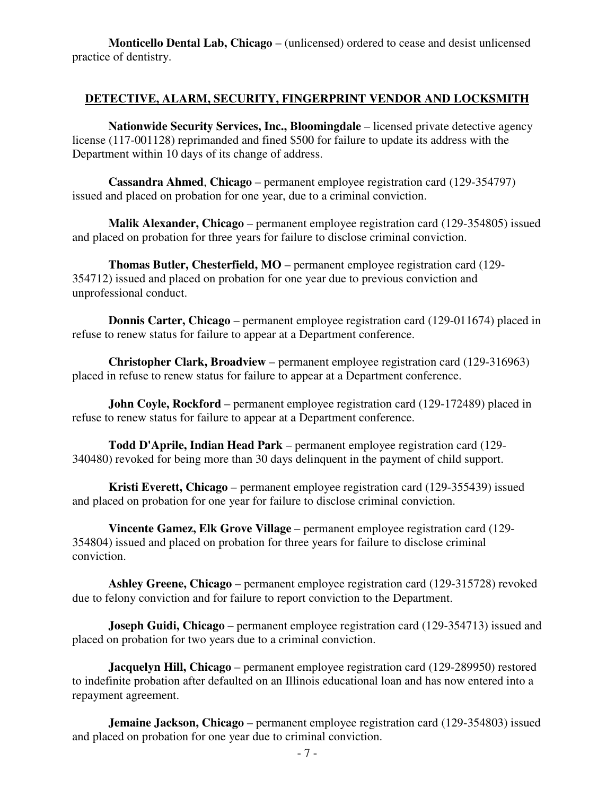**Monticello Dental Lab, Chicago** – (unlicensed) ordered to cease and desist unlicensed practice of dentistry.

### **DETECTIVE, ALARM, SECURITY, FINGERPRINT VENDOR AND LOCKSMITH**

 **Nationwide Security Services, Inc., Bloomingdale** – licensed private detective agency license (117-001128) reprimanded and fined \$500 for failure to update its address with the Department within 10 days of its change of address.

 **Cassandra Ahmed**, **Chicago** – permanent employee registration card (129-354797) issued and placed on probation for one year, due to a criminal conviction.

 **Malik Alexander, Chicago** – permanent employee registration card (129-354805) issued and placed on probation for three years for failure to disclose criminal conviction.

 **Thomas Butler, Chesterfield, MO** – permanent employee registration card (129- 354712) issued and placed on probation for one year due to previous conviction and unprofessional conduct.

 **Donnis Carter, Chicago** – permanent employee registration card (129-011674) placed in refuse to renew status for failure to appear at a Department conference.

 **Christopher Clark, Broadview** – permanent employee registration card (129-316963) placed in refuse to renew status for failure to appear at a Department conference.

**John Coyle, Rockford** – permanent employee registration card (129-172489) placed in refuse to renew status for failure to appear at a Department conference.

 **Todd D'Aprile, Indian Head Park** – permanent employee registration card (129- 340480) revoked for being more than 30 days delinquent in the payment of child support.

 **Kristi Everett, Chicago** – permanent employee registration card (129-355439) issued and placed on probation for one year for failure to disclose criminal conviction.

 **Vincente Gamez, Elk Grove Village** – permanent employee registration card (129- 354804) issued and placed on probation for three years for failure to disclose criminal conviction.

 **Ashley Greene, Chicago** – permanent employee registration card (129-315728) revoked due to felony conviction and for failure to report conviction to the Department.

**Joseph Guidi, Chicago** – permanent employee registration card (129-354713) issued and placed on probation for two years due to a criminal conviction.

 **Jacquelyn Hill, Chicago** – permanent employee registration card (129-289950) restored to indefinite probation after defaulted on an Illinois educational loan and has now entered into a repayment agreement.

**Jemaine Jackson, Chicago** – permanent employee registration card (129-354803) issued and placed on probation for one year due to criminal conviction.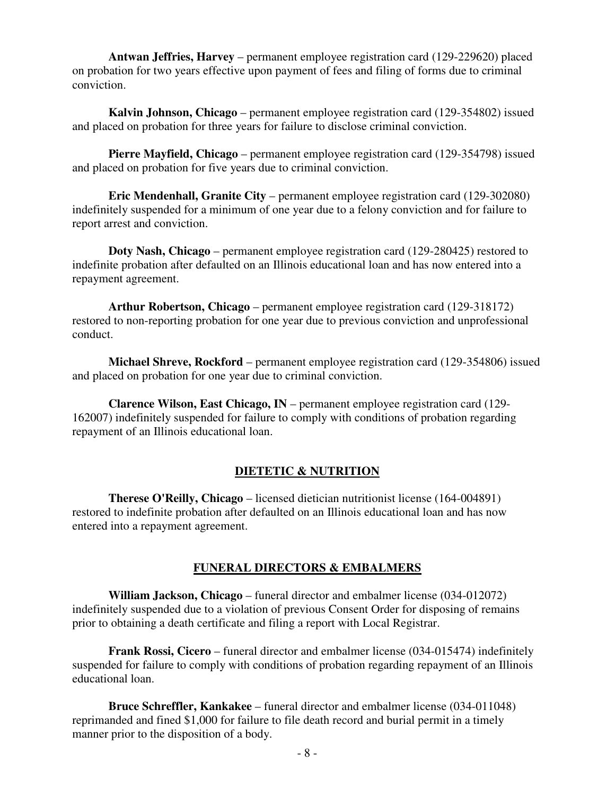**Antwan Jeffries, Harvey** – permanent employee registration card (129-229620) placed on probation for two years effective upon payment of fees and filing of forms due to criminal conviction.

 **Kalvin Johnson, Chicago** – permanent employee registration card (129-354802) issued and placed on probation for three years for failure to disclose criminal conviction.

 **Pierre Mayfield, Chicago** – permanent employee registration card (129-354798) issued and placed on probation for five years due to criminal conviction.

**Eric Mendenhall, Granite City** – permanent employee registration card (129-302080) indefinitely suspended for a minimum of one year due to a felony conviction and for failure to report arrest and conviction.

 **Doty Nash, Chicago** – permanent employee registration card (129-280425) restored to indefinite probation after defaulted on an Illinois educational loan and has now entered into a repayment agreement.

 **Arthur Robertson, Chicago** – permanent employee registration card (129-318172) restored to non-reporting probation for one year due to previous conviction and unprofessional conduct.

 **Michael Shreve, Rockford** – permanent employee registration card (129-354806) issued and placed on probation for one year due to criminal conviction.

 **Clarence Wilson, East Chicago, IN** – permanent employee registration card (129- 162007) indefinitely suspended for failure to comply with conditions of probation regarding repayment of an Illinois educational loan.

#### **DIETETIC & NUTRITION**

 **Therese O'Reilly, Chicago** – licensed dietician nutritionist license (164-004891) restored to indefinite probation after defaulted on an Illinois educational loan and has now entered into a repayment agreement.

#### **FUNERAL DIRECTORS & EMBALMERS**

 **William Jackson, Chicago** – funeral director and embalmer license (034-012072) indefinitely suspended due to a violation of previous Consent Order for disposing of remains prior to obtaining a death certificate and filing a report with Local Registrar.

 **Frank Rossi, Cicero** – funeral director and embalmer license (034-015474) indefinitely suspended for failure to comply with conditions of probation regarding repayment of an Illinois educational loan.

 **Bruce Schreffler, Kankakee** – funeral director and embalmer license (034-011048) reprimanded and fined \$1,000 for failure to file death record and burial permit in a timely manner prior to the disposition of a body.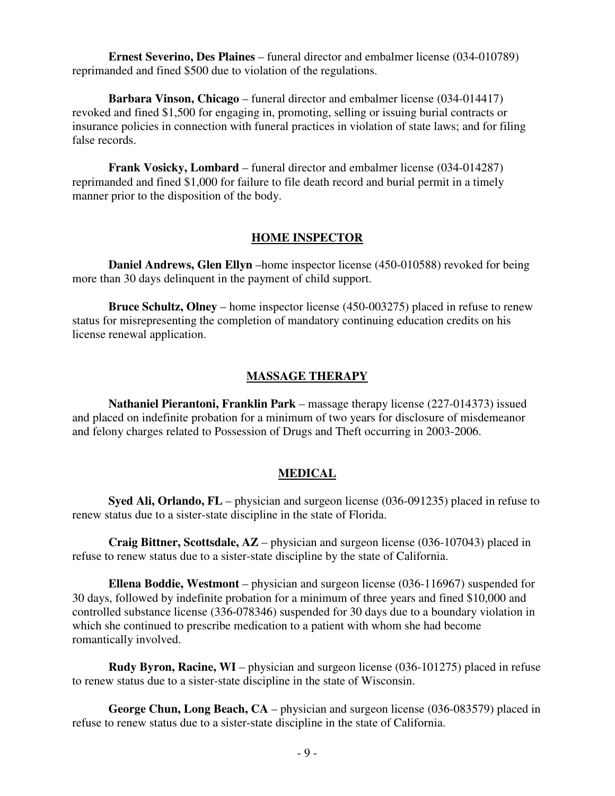**Ernest Severino, Des Plaines** – funeral director and embalmer license (034-010789) reprimanded and fined \$500 due to violation of the regulations.

 **Barbara Vinson, Chicago** – funeral director and embalmer license (034-014417) revoked and fined \$1,500 for engaging in, promoting, selling or issuing burial contracts or insurance policies in connection with funeral practices in violation of state laws; and for filing false records.

**Frank Vosicky, Lombard** – funeral director and embalmer license (034-014287) reprimanded and fined \$1,000 for failure to file death record and burial permit in a timely manner prior to the disposition of the body.

#### **HOME INSPECTOR**

 **Daniel Andrews, Glen Ellyn** –home inspector license (450-010588) revoked for being more than 30 days delinquent in the payment of child support.

 **Bruce Schultz, Olney** – home inspector license (450-003275) placed in refuse to renew status for misrepresenting the completion of mandatory continuing education credits on his license renewal application.

#### **MASSAGE THERAPY**

 **Nathaniel Pierantoni, Franklin Park** – massage therapy license (227-014373) issued and placed on indefinite probation for a minimum of two years for disclosure of misdemeanor and felony charges related to Possession of Drugs and Theft occurring in 2003-2006.

#### **MEDICAL**

 **Syed Ali, Orlando, FL** – physician and surgeon license (036-091235) placed in refuse to renew status due to a sister-state discipline in the state of Florida.

 **Craig Bittner, Scottsdale, AZ** – physician and surgeon license (036-107043) placed in refuse to renew status due to a sister-state discipline by the state of California.

 **Ellena Boddie, Westmont** – physician and surgeon license (036-116967) suspended for 30 days, followed by indefinite probation for a minimum of three years and fined \$10,000 and controlled substance license (336-078346) suspended for 30 days due to a boundary violation in which she continued to prescribe medication to a patient with whom she had become romantically involved.

 **Rudy Byron, Racine, WI** – physician and surgeon license (036-101275) placed in refuse to renew status due to a sister-state discipline in the state of Wisconsin.

 **George Chun, Long Beach, CA** – physician and surgeon license (036-083579) placed in refuse to renew status due to a sister-state discipline in the state of California.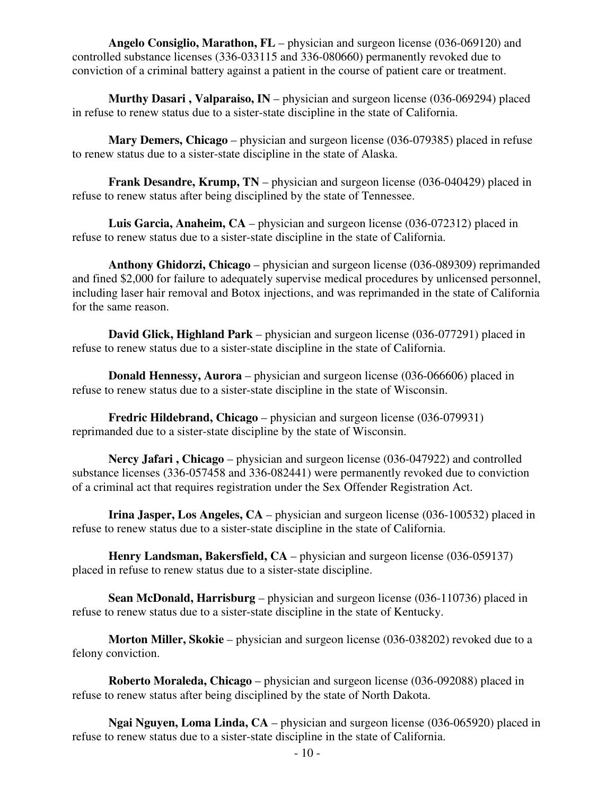**Angelo Consiglio, Marathon, FL** – physician and surgeon license (036-069120) and controlled substance licenses (336-033115 and 336-080660) permanently revoked due to conviction of a criminal battery against a patient in the course of patient care or treatment.

 **Murthy Dasari , Valparaiso, IN** – physician and surgeon license (036-069294) placed in refuse to renew status due to a sister-state discipline in the state of California.

 **Mary Demers, Chicago** – physician and surgeon license (036-079385) placed in refuse to renew status due to a sister-state discipline in the state of Alaska.

**Frank Desandre, Krump, TN** – physician and surgeon license (036-040429) placed in refuse to renew status after being disciplined by the state of Tennessee.

 **Luis Garcia, Anaheim, CA** – physician and surgeon license (036-072312) placed in refuse to renew status due to a sister-state discipline in the state of California.

 **Anthony Ghidorzi, Chicago** – physician and surgeon license (036-089309) reprimanded and fined \$2,000 for failure to adequately supervise medical procedures by unlicensed personnel, including laser hair removal and Botox injections, and was reprimanded in the state of California for the same reason.

 **David Glick, Highland Park** – physician and surgeon license (036-077291) placed in refuse to renew status due to a sister-state discipline in the state of California.

**Donald Hennessy, Aurora** – physician and surgeon license (036-066606) placed in refuse to renew status due to a sister-state discipline in the state of Wisconsin.

 **Fredric Hildebrand, Chicago** – physician and surgeon license (036-079931) reprimanded due to a sister-state discipline by the state of Wisconsin.

 **Nercy Jafari , Chicago** – physician and surgeon license (036-047922) and controlled substance licenses (336-057458 and 336-082441) were permanently revoked due to conviction of a criminal act that requires registration under the Sex Offender Registration Act.

**Irina Jasper, Los Angeles, CA** – physician and surgeon license (036-100532) placed in refuse to renew status due to a sister-state discipline in the state of California.

**Henry Landsman, Bakersfield, CA** – physician and surgeon license (036-059137) placed in refuse to renew status due to a sister-state discipline.

 **Sean McDonald, Harrisburg** – physician and surgeon license (036-110736) placed in refuse to renew status due to a sister-state discipline in the state of Kentucky.

 **Morton Miller, Skokie** – physician and surgeon license (036-038202) revoked due to a felony conviction.

 **Roberto Moraleda, Chicago** – physician and surgeon license (036-092088) placed in refuse to renew status after being disciplined by the state of North Dakota.

 **Ngai Nguyen, Loma Linda, CA** – physician and surgeon license (036-065920) placed in refuse to renew status due to a sister-state discipline in the state of California.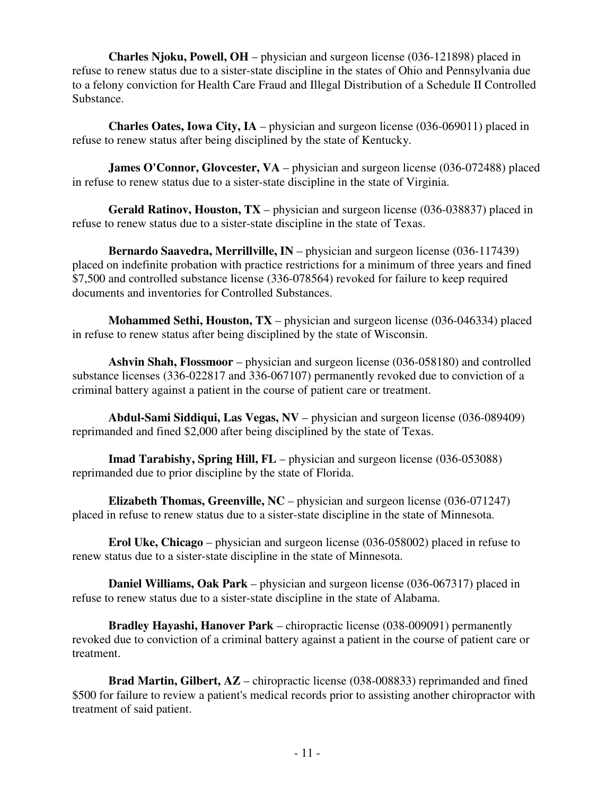**Charles Njoku, Powell, OH** – physician and surgeon license (036-121898) placed in refuse to renew status due to a sister-state discipline in the states of Ohio and Pennsylvania due to a felony conviction for Health Care Fraud and Illegal Distribution of a Schedule II Controlled Substance.

 **Charles Oates, Iowa City, IA** – physician and surgeon license (036-069011) placed in refuse to renew status after being disciplined by the state of Kentucky.

**James O'Connor, Glovcester, VA** – physician and surgeon license (036-072488) placed in refuse to renew status due to a sister-state discipline in the state of Virginia.

 **Gerald Ratinov, Houston, TX** – physician and surgeon license (036-038837) placed in refuse to renew status due to a sister-state discipline in the state of Texas.

 **Bernardo Saavedra, Merrillville, IN** – physician and surgeon license (036-117439) placed on indefinite probation with practice restrictions for a minimum of three years and fined \$7,500 and controlled substance license (336-078564) revoked for failure to keep required documents and inventories for Controlled Substances.

 **Mohammed Sethi, Houston, TX** – physician and surgeon license (036-046334) placed in refuse to renew status after being disciplined by the state of Wisconsin.

 **Ashvin Shah, Flossmoor** – physician and surgeon license (036-058180) and controlled substance licenses (336-022817 and 336-067107) permanently revoked due to conviction of a criminal battery against a patient in the course of patient care or treatment.

 **Abdul-Sami Siddiqui, Las Vegas, NV** – physician and surgeon license (036-089409) reprimanded and fined \$2,000 after being disciplined by the state of Texas.

 **Imad Tarabishy, Spring Hill, FL** – physician and surgeon license (036-053088) reprimanded due to prior discipline by the state of Florida.

 **Elizabeth Thomas, Greenville, NC** – physician and surgeon license (036-071247) placed in refuse to renew status due to a sister-state discipline in the state of Minnesota.

 **Erol Uke, Chicago** – physician and surgeon license (036-058002) placed in refuse to renew status due to a sister-state discipline in the state of Minnesota.

 **Daniel Williams, Oak Park** – physician and surgeon license (036-067317) placed in refuse to renew status due to a sister-state discipline in the state of Alabama.

 **Bradley Hayashi, Hanover Park** – chiropractic license (038-009091) permanently revoked due to conviction of a criminal battery against a patient in the course of patient care or treatment.

 **Brad Martin, Gilbert, AZ** – chiropractic license (038-008833) reprimanded and fined \$500 for failure to review a patient's medical records prior to assisting another chiropractor with treatment of said patient.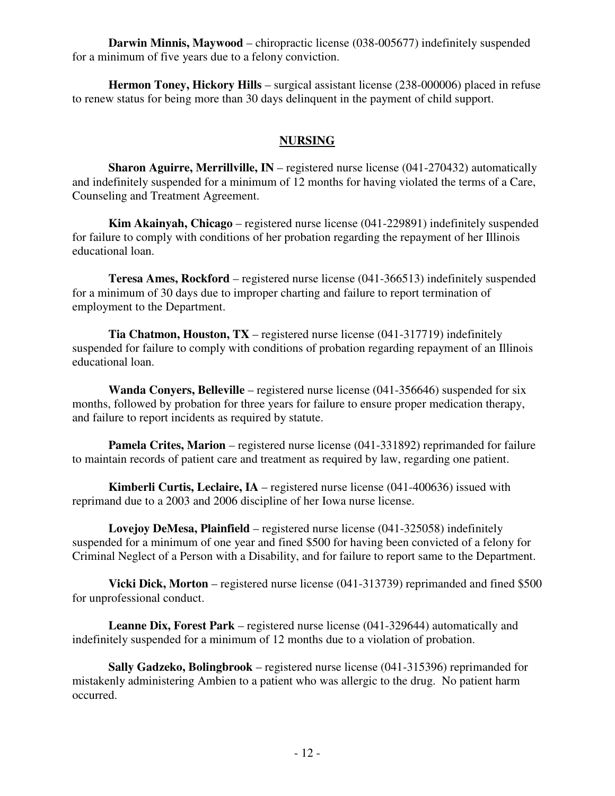**Darwin Minnis, Maywood** – chiropractic license (038-005677) indefinitely suspended for a minimum of five years due to a felony conviction.

 **Hermon Toney, Hickory Hills** – surgical assistant license (238-000006) placed in refuse to renew status for being more than 30 days delinquent in the payment of child support.

# **NURSING**

**Sharon Aguirre, Merrillville, IN** – registered nurse license (041-270432) automatically and indefinitely suspended for a minimum of 12 months for having violated the terms of a Care, Counseling and Treatment Agreement.

 **Kim Akainyah, Chicago** – registered nurse license (041-229891) indefinitely suspended for failure to comply with conditions of her probation regarding the repayment of her Illinois educational loan.

 **Teresa Ames, Rockford** – registered nurse license (041-366513) indefinitely suspended for a minimum of 30 days due to improper charting and failure to report termination of employment to the Department.

 **Tia Chatmon, Houston, TX** – registered nurse license (041-317719) indefinitely suspended for failure to comply with conditions of probation regarding repayment of an Illinois educational loan.

 **Wanda Conyers, Belleville** – registered nurse license (041-356646) suspended for six months, followed by probation for three years for failure to ensure proper medication therapy, and failure to report incidents as required by statute.

**Pamela Crites, Marion** – registered nurse license (041-331892) reprimanded for failure to maintain records of patient care and treatment as required by law, regarding one patient.

 **Kimberli Curtis, Leclaire, IA** – registered nurse license (041-400636) issued with reprimand due to a 2003 and 2006 discipline of her Iowa nurse license.

**Lovejoy DeMesa, Plainfield** – registered nurse license (041-325058) indefinitely suspended for a minimum of one year and fined \$500 for having been convicted of a felony for Criminal Neglect of a Person with a Disability, and for failure to report same to the Department.

**Vicki Dick, Morton** – registered nurse license (041-313739) reprimanded and fined \$500 for unprofessional conduct.

 **Leanne Dix, Forest Park** – registered nurse license (041-329644) automatically and indefinitely suspended for a minimum of 12 months due to a violation of probation.

 **Sally Gadzeko, Bolingbrook** – registered nurse license (041-315396) reprimanded for mistakenly administering Ambien to a patient who was allergic to the drug. No patient harm occurred.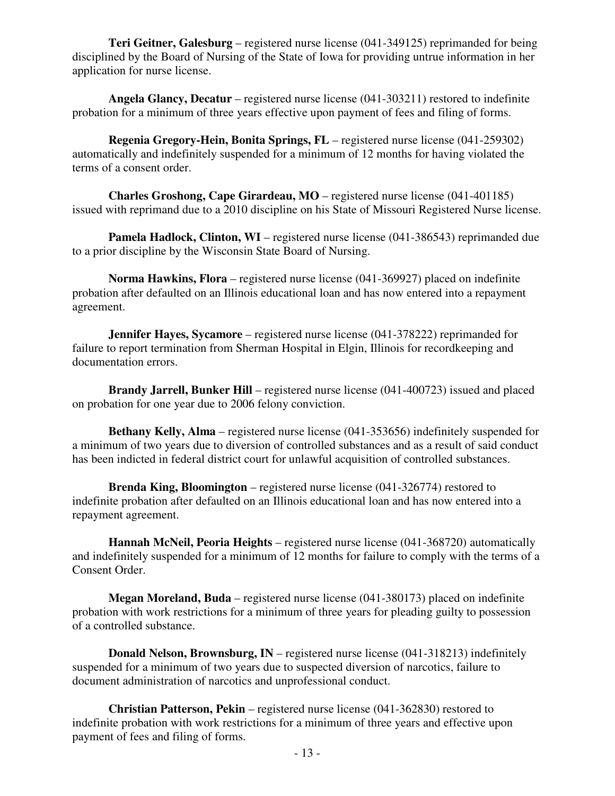**Teri Geitner, Galesburg** – registered nurse license (041-349125) reprimanded for being disciplined by the Board of Nursing of the State of Iowa for providing untrue information in her application for nurse license.

 **Angela Glancy, Decatur** – registered nurse license (041-303211) restored to indefinite probation for a minimum of three years effective upon payment of fees and filing of forms.

**Regenia Gregory-Hein, Bonita Springs, FL** – registered nurse license (041-259302) automatically and indefinitely suspended for a minimum of 12 months for having violated the terms of a consent order.

 **Charles Groshong, Cape Girardeau, MO** – registered nurse license (041-401185) issued with reprimand due to a 2010 discipline on his State of Missouri Registered Nurse license.

**Pamela Hadlock, Clinton, WI** – registered nurse license (041-386543) reprimanded due to a prior discipline by the Wisconsin State Board of Nursing.

 **Norma Hawkins, Flora** – registered nurse license (041-369927) placed on indefinite probation after defaulted on an Illinois educational loan and has now entered into a repayment agreement.

**Jennifer Hayes, Sycamore** – registered nurse license (041-378222) reprimanded for failure to report termination from Sherman Hospital in Elgin, Illinois for recordkeeping and documentation errors.

 **Brandy Jarrell, Bunker Hill** – registered nurse license (041-400723) issued and placed on probation for one year due to 2006 felony conviction.

**Bethany Kelly, Alma** – registered nurse license (041-353656) indefinitely suspended for a minimum of two years due to diversion of controlled substances and as a result of said conduct has been indicted in federal district court for unlawful acquisition of controlled substances.

 **Brenda King, Bloomington** – registered nurse license (041-326774) restored to indefinite probation after defaulted on an Illinois educational loan and has now entered into a repayment agreement.

 **Hannah McNeil, Peoria Heights** – registered nurse license (041-368720) automatically and indefinitely suspended for a minimum of 12 months for failure to comply with the terms of a Consent Order.

 **Megan Moreland, Buda** – registered nurse license (041-380173) placed on indefinite probation with work restrictions for a minimum of three years for pleading guilty to possession of a controlled substance.

 **Donald Nelson, Brownsburg, IN** – registered nurse license (041-318213) indefinitely suspended for a minimum of two years due to suspected diversion of narcotics, failure to document administration of narcotics and unprofessional conduct.

 **Christian Patterson, Pekin** – registered nurse license (041-362830) restored to indefinite probation with work restrictions for a minimum of three years and effective upon payment of fees and filing of forms.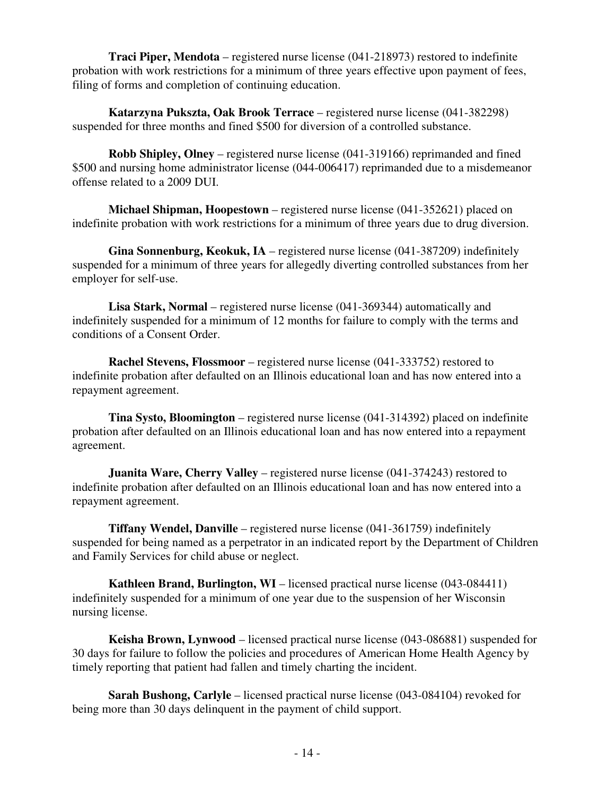**Traci Piper, Mendota** – registered nurse license (041-218973) restored to indefinite probation with work restrictions for a minimum of three years effective upon payment of fees, filing of forms and completion of continuing education.

 **Katarzyna Pukszta, Oak Brook Terrace** – registered nurse license (041-382298) suspended for three months and fined \$500 for diversion of a controlled substance.

 **Robb Shipley, Olney** – registered nurse license (041-319166) reprimanded and fined \$500 and nursing home administrator license (044-006417) reprimanded due to a misdemeanor offense related to a 2009 DUI.

 **Michael Shipman, Hoopestown** – registered nurse license (041-352621) placed on indefinite probation with work restrictions for a minimum of three years due to drug diversion.

 **Gina Sonnenburg, Keokuk, IA** – registered nurse license (041-387209) indefinitely suspended for a minimum of three years for allegedly diverting controlled substances from her employer for self-use.

 **Lisa Stark, Normal** – registered nurse license (041-369344) automatically and indefinitely suspended for a minimum of 12 months for failure to comply with the terms and conditions of a Consent Order.

 **Rachel Stevens, Flossmoor** – registered nurse license (041-333752) restored to indefinite probation after defaulted on an Illinois educational loan and has now entered into a repayment agreement.

 **Tina Systo, Bloomington** – registered nurse license (041-314392) placed on indefinite probation after defaulted on an Illinois educational loan and has now entered into a repayment agreement.

**Juanita Ware, Cherry Valley** – registered nurse license (041-374243) restored to indefinite probation after defaulted on an Illinois educational loan and has now entered into a repayment agreement.

 **Tiffany Wendel, Danville** – registered nurse license (041-361759) indefinitely suspended for being named as a perpetrator in an indicated report by the Department of Children and Family Services for child abuse or neglect.

**Kathleen Brand, Burlington, WI** – licensed practical nurse license (043-084411) indefinitely suspended for a minimum of one year due to the suspension of her Wisconsin nursing license.

 **Keisha Brown, Lynwood** – licensed practical nurse license (043-086881) suspended for 30 days for failure to follow the policies and procedures of American Home Health Agency by timely reporting that patient had fallen and timely charting the incident.

 **Sarah Bushong, Carlyle** – licensed practical nurse license (043-084104) revoked for being more than 30 days delinquent in the payment of child support.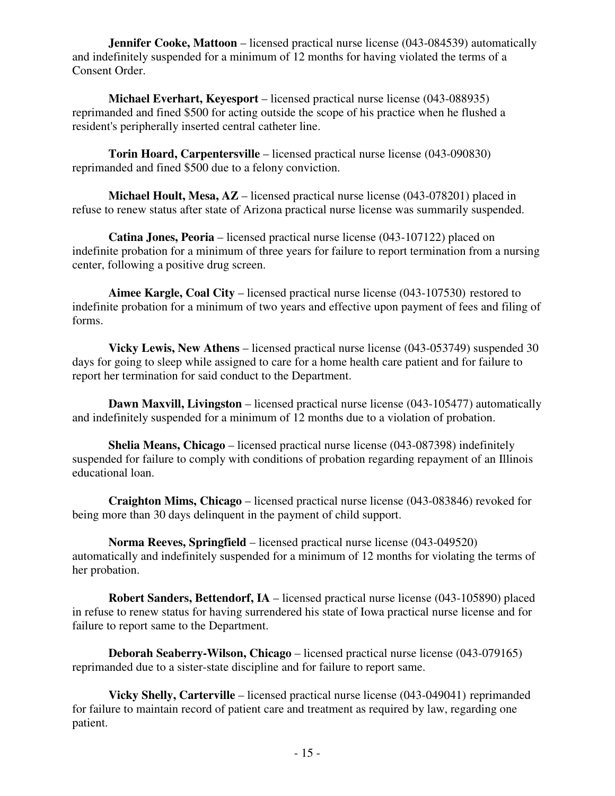**Jennifer Cooke, Mattoon** – licensed practical nurse license (043-084539) automatically and indefinitely suspended for a minimum of 12 months for having violated the terms of a Consent Order.

 **Michael Everhart, Keyesport** – licensed practical nurse license (043-088935) reprimanded and fined \$500 for acting outside the scope of his practice when he flushed a resident's peripherally inserted central catheter line.

 **Torin Hoard, Carpentersville** – licensed practical nurse license (043-090830) reprimanded and fined \$500 due to a felony conviction.

 **Michael Hoult, Mesa, AZ** – licensed practical nurse license (043-078201) placed in refuse to renew status after state of Arizona practical nurse license was summarily suspended.

 **Catina Jones, Peoria** – licensed practical nurse license (043-107122) placed on indefinite probation for a minimum of three years for failure to report termination from a nursing center, following a positive drug screen.

 **Aimee Kargle, Coal City** – licensed practical nurse license (043-107530) restored to indefinite probation for a minimum of two years and effective upon payment of fees and filing of forms.

 **Vicky Lewis, New Athens** – licensed practical nurse license (043-053749) suspended 30 days for going to sleep while assigned to care for a home health care patient and for failure to report her termination for said conduct to the Department.

**Dawn Maxvill, Livingston** – licensed practical nurse license (043-105477) automatically and indefinitely suspended for a minimum of 12 months due to a violation of probation.

 **Shelia Means, Chicago** – licensed practical nurse license (043-087398) indefinitely suspended for failure to comply with conditions of probation regarding repayment of an Illinois educational loan.

 **Craighton Mims, Chicago** – licensed practical nurse license (043-083846) revoked for being more than 30 days delinquent in the payment of child support.

**Norma Reeves, Springfield** – licensed practical nurse license (043-049520) automatically and indefinitely suspended for a minimum of 12 months for violating the terms of her probation.

 **Robert Sanders, Bettendorf, IA** – licensed practical nurse license (043-105890) placed in refuse to renew status for having surrendered his state of Iowa practical nurse license and for failure to report same to the Department.

 **Deborah Seaberry-Wilson, Chicago** – licensed practical nurse license (043-079165) reprimanded due to a sister-state discipline and for failure to report same.

**Vicky Shelly, Carterville** – licensed practical nurse license (043-049041) reprimanded for failure to maintain record of patient care and treatment as required by law, regarding one patient.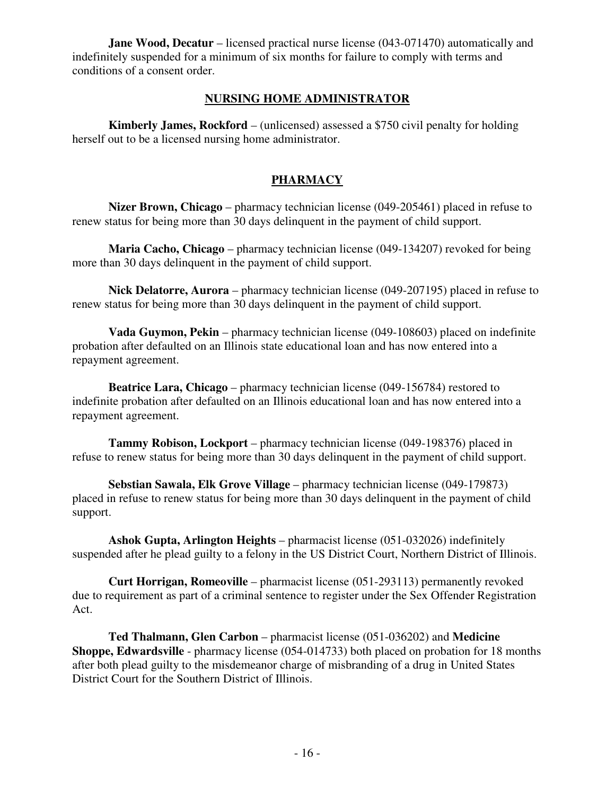**Jane Wood, Decatur** – licensed practical nurse license (043-071470) automatically and indefinitely suspended for a minimum of six months for failure to comply with terms and conditions of a consent order.

### **NURSING HOME ADMINISTRATOR**

 **Kimberly James, Rockford** – (unlicensed) assessed a \$750 civil penalty for holding herself out to be a licensed nursing home administrator.

# **PHARMACY**

 **Nizer Brown, Chicago** – pharmacy technician license (049-205461) placed in refuse to renew status for being more than 30 days delinquent in the payment of child support.

 **Maria Cacho, Chicago** – pharmacy technician license (049-134207) revoked for being more than 30 days delinquent in the payment of child support.

 **Nick Delatorre, Aurora** – pharmacy technician license (049-207195) placed in refuse to renew status for being more than 30 days delinquent in the payment of child support.

 **Vada Guymon, Pekin** – pharmacy technician license (049-108603) placed on indefinite probation after defaulted on an Illinois state educational loan and has now entered into a repayment agreement.

 **Beatrice Lara, Chicago** – pharmacy technician license (049-156784) restored to indefinite probation after defaulted on an Illinois educational loan and has now entered into a repayment agreement.

 **Tammy Robison, Lockport** – pharmacy technician license (049-198376) placed in refuse to renew status for being more than 30 days delinquent in the payment of child support.

 **Sebstian Sawala, Elk Grove Village** – pharmacy technician license (049-179873) placed in refuse to renew status for being more than 30 days delinquent in the payment of child support.

 **Ashok Gupta, Arlington Heights** – pharmacist license (051-032026) indefinitely suspended after he plead guilty to a felony in the US District Court, Northern District of Illinois.

 **Curt Horrigan, Romeoville** – pharmacist license (051-293113) permanently revoked due to requirement as part of a criminal sentence to register under the Sex Offender Registration Act.

 **Ted Thalmann, Glen Carbon** – pharmacist license (051-036202) and **Medicine Shoppe, Edwardsville** - pharmacy license (054-014733) both placed on probation for 18 months after both plead guilty to the misdemeanor charge of misbranding of a drug in United States District Court for the Southern District of Illinois.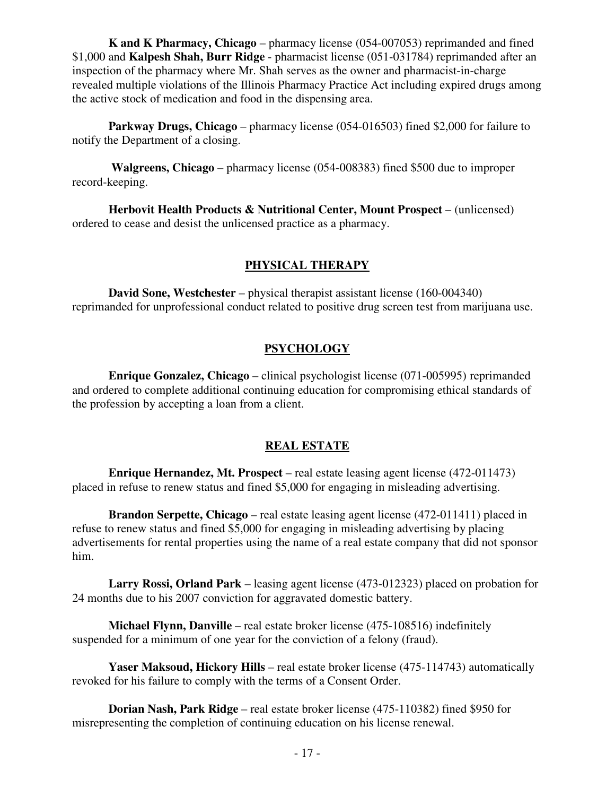**K and K Pharmacy, Chicago** – pharmacy license (054-007053) reprimanded and fined \$1,000 and **Kalpesh Shah, Burr Ridge** - pharmacist license (051-031784) reprimanded after an inspection of the pharmacy where Mr. Shah serves as the owner and pharmacist-in-charge revealed multiple violations of the Illinois Pharmacy Practice Act including expired drugs among the active stock of medication and food in the dispensing area.

**Parkway Drugs, Chicago** – pharmacy license (054-016503) fined \$2,000 for failure to notify the Department of a closing.

 **Walgreens, Chicago** – pharmacy license (054-008383) fined \$500 due to improper record-keeping.

 **Herbovit Health Products & Nutritional Center, Mount Prospect** – (unlicensed) ordered to cease and desist the unlicensed practice as a pharmacy.

# **PHYSICAL THERAPY**

 **David Sone, Westchester** – physical therapist assistant license (160-004340) reprimanded for unprofessional conduct related to positive drug screen test from marijuana use.

# **PSYCHOLOGY**

 **Enrique Gonzalez, Chicago** – clinical psychologist license (071-005995) reprimanded and ordered to complete additional continuing education for compromising ethical standards of the profession by accepting a loan from a client.

# **REAL ESTATE**

 **Enrique Hernandez, Mt. Prospect** – real estate leasing agent license (472-011473) placed in refuse to renew status and fined \$5,000 for engaging in misleading advertising.

 **Brandon Serpette, Chicago** – real estate leasing agent license (472-011411) placed in refuse to renew status and fined \$5,000 for engaging in misleading advertising by placing advertisements for rental properties using the name of a real estate company that did not sponsor him.

 **Larry Rossi, Orland Park** – leasing agent license (473-012323) placed on probation for 24 months due to his 2007 conviction for aggravated domestic battery.

 **Michael Flynn, Danville** – real estate broker license (475-108516) indefinitely suspended for a minimum of one year for the conviction of a felony (fraud).

 **Yaser Maksoud, Hickory Hills** – real estate broker license (475-114743) automatically revoked for his failure to comply with the terms of a Consent Order.

 **Dorian Nash, Park Ridge** – real estate broker license (475-110382) fined \$950 for misrepresenting the completion of continuing education on his license renewal.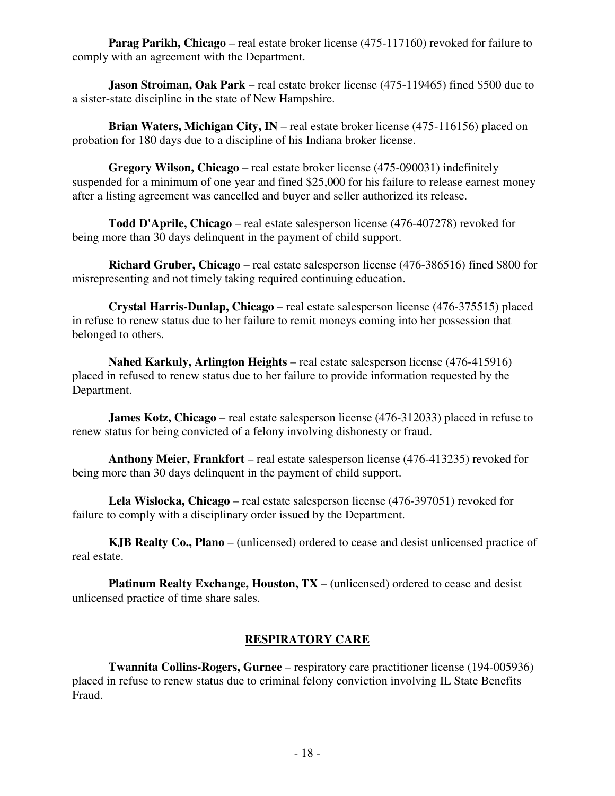**Parag Parikh, Chicago** – real estate broker license (475-117160) revoked for failure to comply with an agreement with the Department.

 **Jason Stroiman, Oak Park** – real estate broker license (475-119465) fined \$500 due to a sister-state discipline in the state of New Hampshire.

**Brian Waters, Michigan City, IN** – real estate broker license (475-116156) placed on probation for 180 days due to a discipline of his Indiana broker license.

 **Gregory Wilson, Chicago** – real estate broker license (475-090031) indefinitely suspended for a minimum of one year and fined \$25,000 for his failure to release earnest money after a listing agreement was cancelled and buyer and seller authorized its release.

 **Todd D'Aprile, Chicago** – real estate salesperson license (476-407278) revoked for being more than 30 days delinquent in the payment of child support.

 **Richard Gruber, Chicago** – real estate salesperson license (476-386516) fined \$800 for misrepresenting and not timely taking required continuing education.

 **Crystal Harris-Dunlap, Chicago** – real estate salesperson license (476-375515) placed in refuse to renew status due to her failure to remit moneys coming into her possession that belonged to others.

 **Nahed Karkuly, Arlington Heights** – real estate salesperson license (476-415916) placed in refused to renew status due to her failure to provide information requested by the Department.

**James Kotz, Chicago** – real estate salesperson license (476-312033) placed in refuse to renew status for being convicted of a felony involving dishonesty or fraud.

 **Anthony Meier, Frankfort** – real estate salesperson license (476-413235) revoked for being more than 30 days delinquent in the payment of child support.

 **Lela Wislocka, Chicago** – real estate salesperson license (476-397051) revoked for failure to comply with a disciplinary order issued by the Department.

 **KJB Realty Co., Plano** – (unlicensed) ordered to cease and desist unlicensed practice of real estate.

**Platinum Realty Exchange, Houston, TX** – (unlicensed) ordered to cease and desist unlicensed practice of time share sales.

# **RESPIRATORY CARE**

 **Twannita Collins-Rogers, Gurnee** – respiratory care practitioner license (194-005936) placed in refuse to renew status due to criminal felony conviction involving IL State Benefits Fraud.